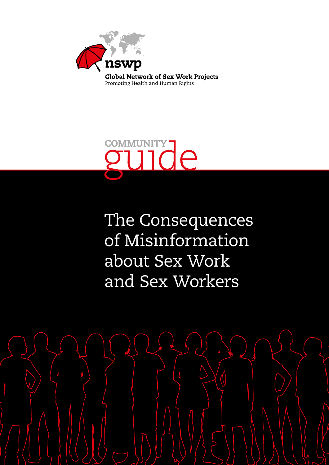

**COMMUNITY**  $\Theta$ 

The Consequences of Misinformation about Sex Work and Sex Workers

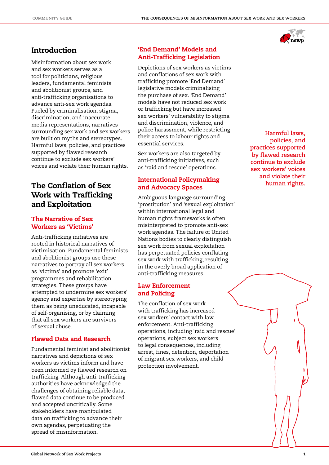# Introduction

Misinformation about sex work and sex workers serves as a tool for politicians, religious leaders, fundamental feminists and abolitionist groups, and anti-trafficking organisations to advance anti-sex work agendas. Fueled by criminalisation, stigma, discrimination, and inaccurate media representations, narratives surrounding sex work and sex workers are built on myths and stereotypes. Harmful laws, policies, and practices supported by flawed research continue to exclude sex workers' voices and violate their human rights.

## The Conflation of Sex Work with Trafficking and Exploitation

#### The Narrative of Sex Workers as 'Victims'

Anti-trafficking initiatives are rooted in historical narratives of victimisation. Fundamental feminists and abolitionist groups use these narratives to portray all sex workers as 'victims' and promote 'exit' programmes and rehabilitation strategies. These groups have attempted to undermine sex workers' agency and expertise by stereotyping them as being uneducated, incapable of self-organising, or by claiming that all sex workers are survivors of sexual abuse.

#### Flawed Data and Research

Fundamental feminist and abolitionist narratives and depictions of sex workers as victims inform and have been informed by flawed research on trafficking. Although anti-trafficking authorities have acknowledged the challenges of obtaining reliable data, flawed data continue to be produced and accepted uncritically. Some stakeholders have manipulated data on trafficking to advance their own agendas, perpetuating the spread of misinformation.

#### 'End Demand' Models and Anti-Trafficking Legislation

Depictions of sex workers as victims and conflations of sex work with trafficking promote 'End Demand' legislative models criminalising the purchase of sex. 'End Demand' models have not reduced sex work or trafficking but have increased sex workers' vulnerability to stigma and discrimination, violence, and police harassment, while restricting their access to labour rights and essential services.

Sex workers are also targeted by anti-trafficking initiatives, such as 'raid and rescue' operations.

#### International Policymaking and Advocacy Spaces

Ambiguous language surrounding 'prostitution' and 'sexual exploitation' within international legal and human rights frameworks is often misinterpreted to promote anti-sex work agendas. The failure of United Nations bodies to clearly distinguish sex work from sexual exploitation has perpetuated policies conflating sex work with trafficking, resulting in the overly broad application of anti-trafficking measures.

#### Law Enforcement and Policing

The conflation of sex work with trafficking has increased sex workers' contact with law enforcement. Anti-trafficking operations, including 'raid and rescue' operations, subject sex workers to legal consequences, including arrest, fines, detention, deportation of migrant sex workers, and child protection involvement.

**Harmful laws, policies, and practices supported by flawed research continue to exclude sex workers' voices and violate their human rights.**

nswo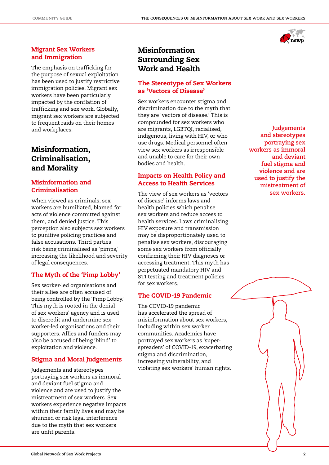

#### Migrant Sex Workers and Immigration

The emphasis on trafficking for the purpose of sexual exploitation has been used to justify restrictive immigration policies. Migrant sex workers have been particularly impacted by the conflation of trafficking and sex work. Globally, migrant sex workers are subjected to frequent raids on their homes and workplaces.

# Misinformation, Criminalisation, and Morality

### Misinformation and Criminalisation

When viewed as criminals, sex workers are humiliated, blamed for acts of violence committed against them, and denied justice. This perception also subjects sex workers to punitive policing practices and false accusations. Third parties risk being criminalised as 'pimps,' increasing the likelihood and severity of legal consequences.

## The Myth of the 'Pimp Lobby'

Sex worker-led organisations and their allies are often accused of being controlled by the 'Pimp Lobby.' This myth is rooted in the denial of sex workers' agency and is used to discredit and undermine sex worker-led organisations and their supporters. Allies and funders may also be accused of being 'blind' to exploitation and violence.

#### Stigma and Moral Judgements

Judgements and stereotypes portraying sex workers as immoral and deviant fuel stigma and violence and are used to justify the mistreatment of sex workers. Sex workers experience negative impacts within their family lives and may be shunned or risk legal interference due to the myth that sex workers are unfit parents.

# Misinformation Surrounding Sex Work and Health

#### The Stereotype of Sex Workers as 'Vectors of Disease'

Sex workers encounter stigma and discrimination due to the myth that they are 'vectors of disease.' This is compounded for sex workers who are migrants, LGBTQI, racialised, indigenous, living with HIV, or who use drugs. Medical personnel often view sex workers as irresponsible and unable to care for their own bodies and health.

#### Impacts on Health Policy and Access to Health Services

The view of sex workers as 'vectors of disease' informs laws and health policies which penalise sex workers and reduce access to health services. Laws criminalising HIV exposure and transmission may be disproportionately used to penalise sex workers, discouraging some sex workers from officially confirming their HIV diagnoses or accessing treatment. This myth has perpetuated mandatory HIV and STI testing and treatment policies for sex workers.

#### The COVID-19 Pandemic

The COVID-19 pandemic has accelerated the spread of misinformation about sex workers, including within sex worker communities. Academics have portrayed sex workers as 'superspreaders' of COVID-19, exacerbating stigma and discrimination, increasing vulnerability, and violating sex workers' human rights.

**Judgements and stereotypes portraying sex workers as immoral and deviant fuel stigma and violence and are used to justify the mistreatment of sex workers.**

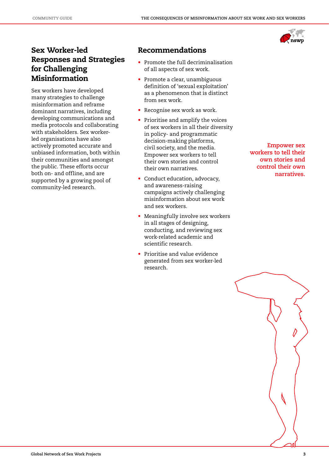

# Sex Worker-led Responses and Strategies for Challenging Misinformation

Sex workers have developed many strategies to challenge misinformation and reframe dominant narratives, including developing communications and media protocols and collaborating with stakeholders. Sex workerled organisations have also actively promoted accurate and unbiased information, both within their communities and amongst the public. These efforts occur both on- and offline, and are supported by a growing pool of community-led research.

## Recommendations

- Promote the full decriminalisation of all aspects of sex work.
- Promote a clear, unambiguous definition of 'sexual exploitation' as a phenomenon that is distinct from sex work.
- Recognise sex work as work.
- Prioritise and amplify the voices of sex workers in all their diversity in policy- and programmatic decision-making platforms, civil society, and the media. Empower sex workers to tell their own stories and control their own narratives.
- Conduct education, advocacy, and awareness-raising campaigns actively challenging misinformation about sex work and sex workers.
- Meaningfully involve sex workers in all stages of designing, conducting, and reviewing sex work-related academic and scientific research.
- Prioritise and value evidence generated from sex worker-led research.

**Empower sex workers to tell their own stories and control their own narratives.**